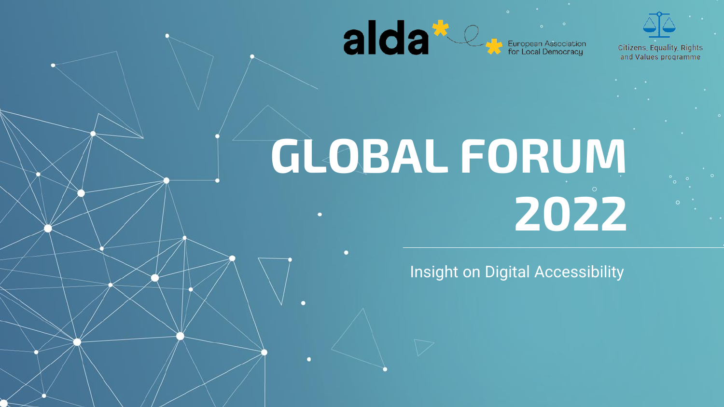

European Association<br>for Local Democracy



Citizens, Equality, Rights and Values programme

# **GLOBAL FORUM 2022**

Insight on Digital Accessibility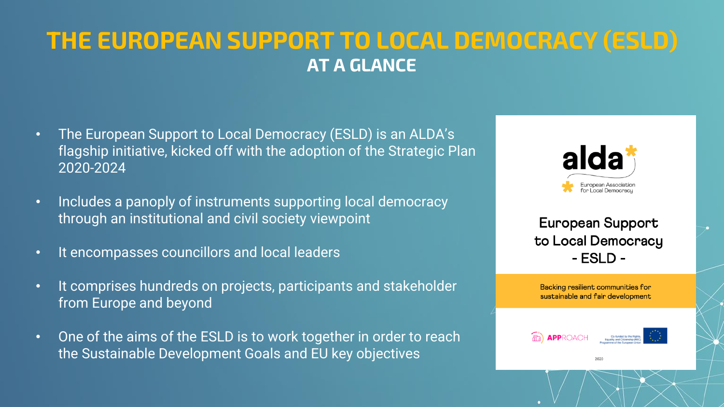#### **THE EUROPEAN SUPPORT TO LOCAL DEMOCRACY (ESLD) AT A GLANCE**

- The European Support to Local Democracy (ESLD) is an ALDA's flagship initiative, kicked off with the adoption of the Strategic Plan 2020-2024
- Includes a panoply of instruments supporting local democracy through an institutional and civil society viewpoint
- It encompasses councillors and local leaders
- It comprises hundreds on projects, participants and stakeholder from Europe and beyond
- One of the aims of the ESLD is to work together in order to reach the Sustainable Development Goals and EU key objectives



European Support to Local Democracy  $-$  ESLD  $-$ 

Backing resilient communities for sustainable and fair development

2020



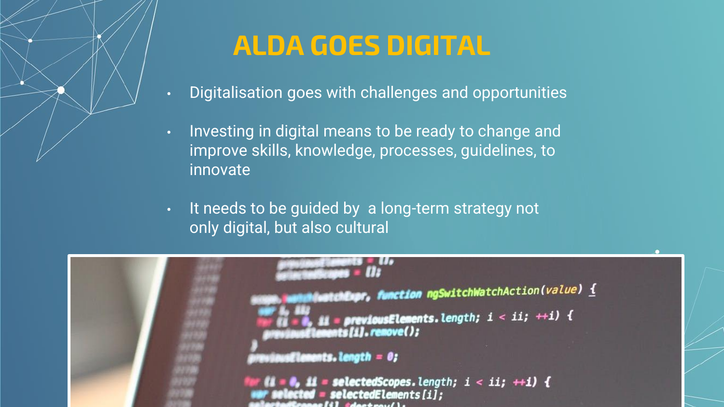### **ALDA GOES DIGITAL**

- Digitalisation goes with challenges and opportunities
- Investing in digital means to be ready to change and improve skills, knowledge, processes, guidelines, to innovate
- It needs to be guided by a long-term strategy not only digital, but also cultural

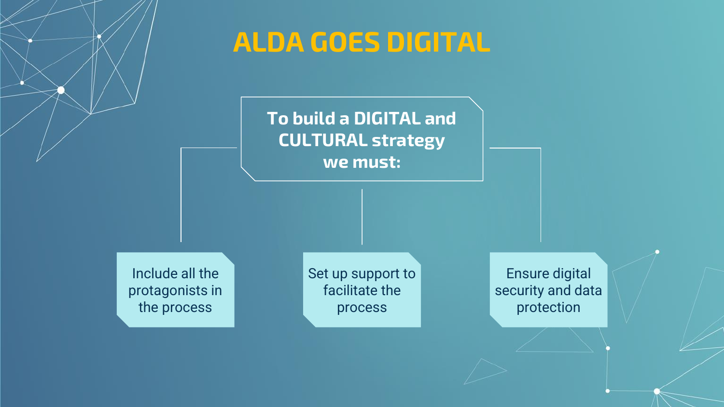#### **ALDA GOES DIGITAL**

#### **To build a DIGITAL and CULTURAL strategy we must:**

Include all the protagonists in the process

Set up support to facilitate the process

Ensure digital security and data protection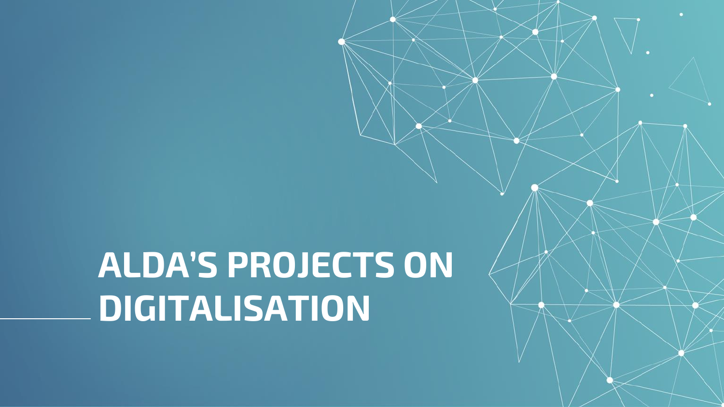## **ALDA'S PROJECTS ON DIGITALISATION**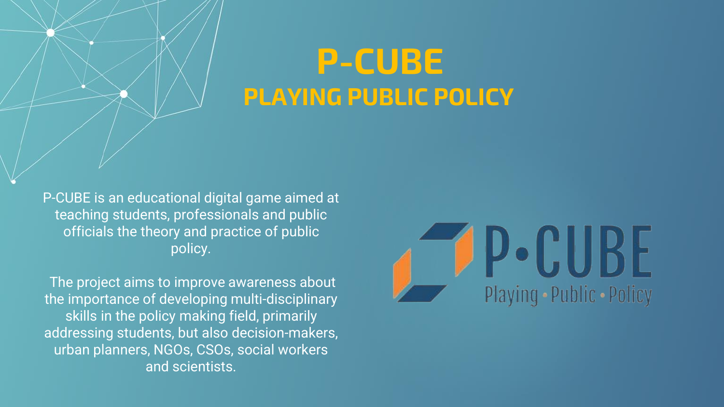### **P-CUBE PLAYING PUBLIC POLICY**

P-CUBE is an educational digital game aimed at teaching students, professionals and public officials the theory and practice of public policy.

The project aims to improve awareness about the importance of developing multi-disciplinary skills in the policy making field, primarily addressing students, but also decision-makers, urban planners, NGOs, CSOs, social workers and scientists.

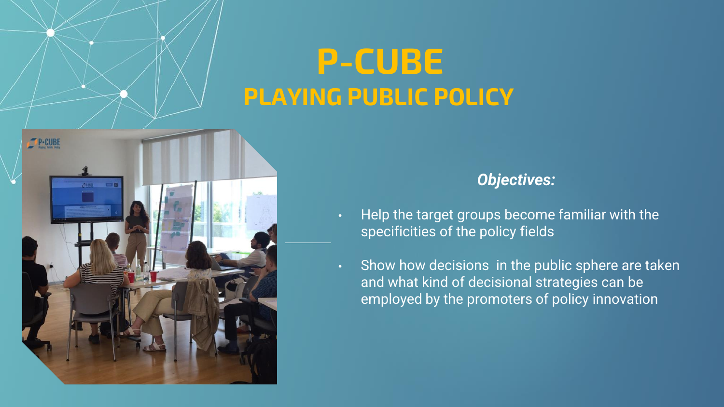### **P-CUBE PLAYING PUBLIC POLICY**



#### *Objectives:*

- Help the target groups become familiar with the specificities of the policy fields
- Show how decisions in the public sphere are taken and what kind of decisional strategies can be employed by the promoters of policy innovation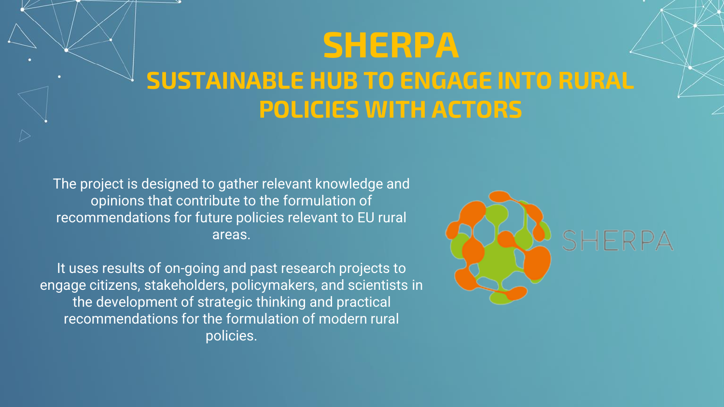### **SHERPA SUSTAINABLE HUB TO ENGAGE INTO RURAL POLICIES WITH ACTORS**

The project is designed to gather relevant knowledge and opinions that contribute to the formulation of recommendations for future policies relevant to EU rural areas.

It uses results of on-going and past research projects to engage citizens, stakeholders, policymakers, and scientists in the development of strategic thinking and practical recommendations for the formulation of modern rural policies.

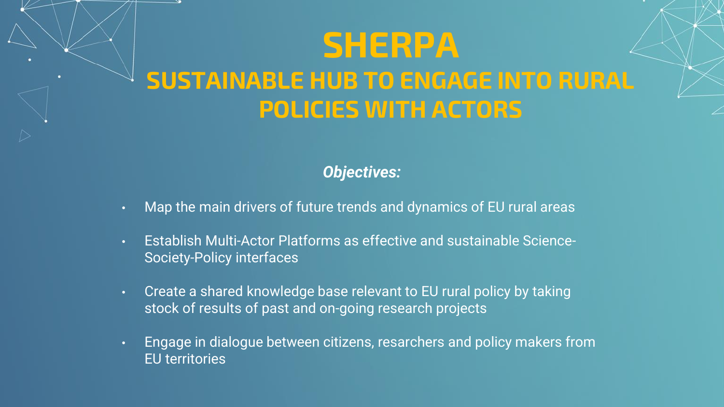### **SHERPA SUSTAINABLE HUB TO ENGAGE INTO RURAL POLICIES WITH ACTORS**

#### *Objectives:*

- Map the main drivers of future trends and dynamics of EU rural areas
- Establish Multi-Actor Platforms as effective and sustainable Science-Society-Policy interfaces
- Create a shared knowledge base relevant to EU rural policy by taking stock of results of past and on-going research projects
- Engage in dialogue between citizens, resarchers and policy makers from EU territories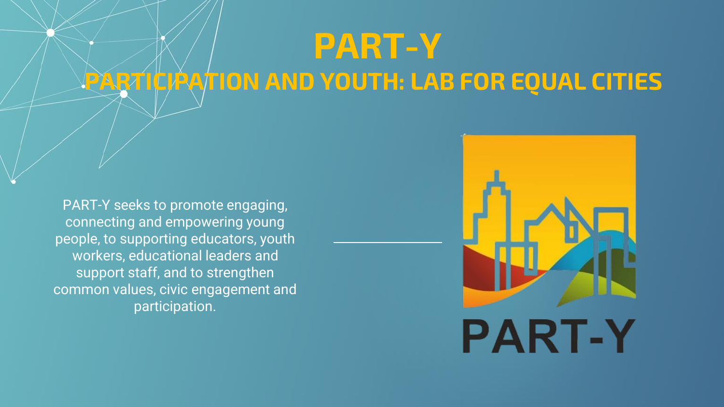### **PART-Y PARTICIPATION AND YOUTH: LAB FOR EQUAL CITIES**

PART-Y seeks to promote engaging, connecting and empowering young people, to supporting educators, youth workers, educational leaders and support staff, and to strengthen common values, civic engagement and participation.

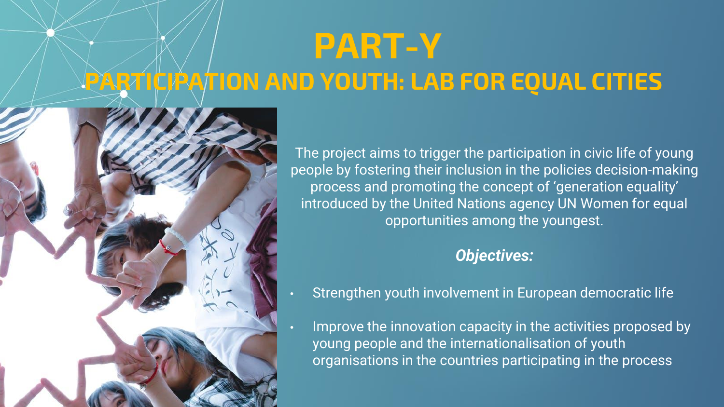### **PART-Y PARTICIPATION AND YOUTH: LAB FOR EQUAL CITIES**



The project aims to trigger the participation in civic life of young people by fostering their inclusion in the policies decision-making process and promoting the concept of 'generation equality' introduced by the United Nations agency UN Women for equal opportunities among the youngest.

#### *Objectives:*

- Strengthen youth involvement in European democratic life
- Improve the innovation capacity in the activities proposed by young people and the internationalisation of youth organisations in the countries participating in the process